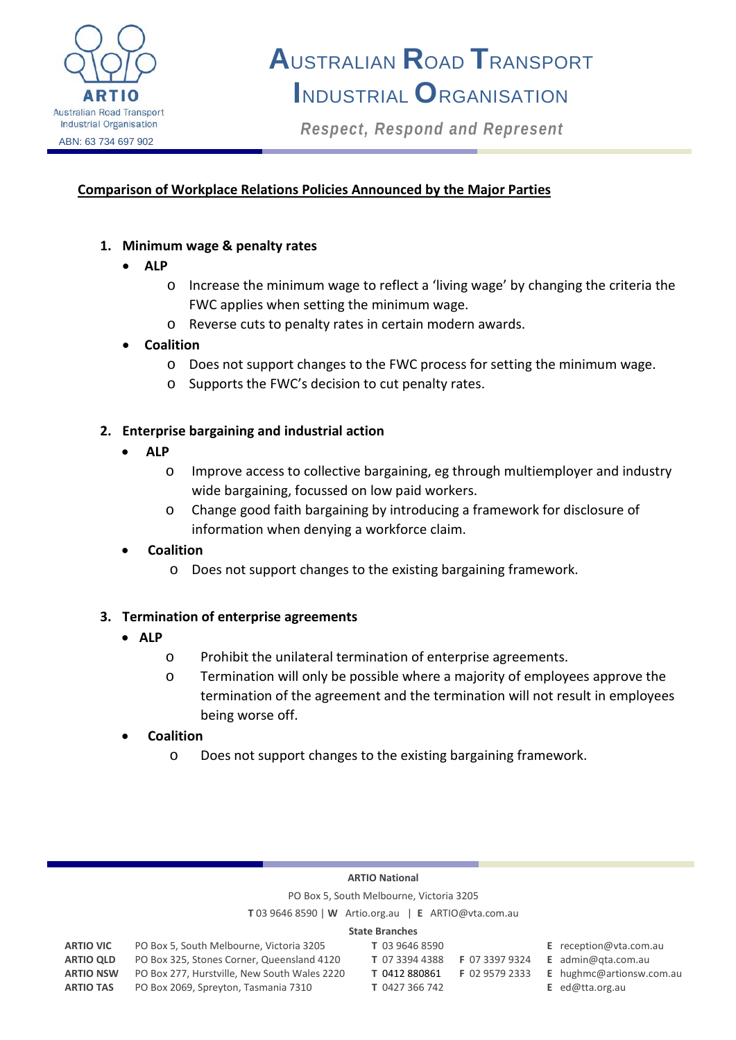

# **A**USTRALIAN **R**OAD **T**RANSPORT **I**NDUSTRIAL **O**RGANISATION

*Respect, Respond and Represent*

## **Comparison of Workplace Relations Policies Announced by the Major Parties**

#### **1. Minimum wage & penalty rates**

- **ALP** 
	- o Increase the minimum wage to reflect a 'living wage' by changing the criteria the FWC applies when setting the minimum wage.
	- o Reverse cuts to penalty rates in certain modern awards.

#### • **Coalition**

- o Does not support changes to the FWC process for setting the minimum wage.
- o Supports the FWC's decision to cut penalty rates.

#### **2. Enterprise bargaining and industrial action**

- • **ALP**
	- o Improve access to collective bargaining, eg through multiemployer and industry wide bargaining, focussed on low paid workers.
	- o Change good faith bargaining by introducing a framework for disclosure of information when denying a workforce claim.

# • **Coalition**

o Does not support changes to the existing bargaining framework.

#### **3. Termination of enterprise agreements**

- **ALP**
	- o Prohibit the unilateral termination of enterprise agreements.
	- o Termination will only be possible where a majority of employees approve the termination of the agreement and the termination will not result in employees being worse off.
- **Coalition** 
	- o Does not support changes to the existing bargaining framework.

#### **ARTIO National**

PO Box 5, South Melbourne, Victoria 3205

**T** 03 9646 8590 | **W** Artio.org.au | **E** ARTIO@vta.com.au

#### **State Branches**

| State Branches   |                                              |                |                |                               |
|------------------|----------------------------------------------|----------------|----------------|-------------------------------|
| <b>ARTIO VIC</b> | PO Box 5, South Melbourne, Victoria 3205     | T 03 9646 8590 |                | <b>E</b> reception@vta.com.au |
| <b>ARTIO QLD</b> | PO Box 325, Stones Corner, Queensland 4120   | T 07 3394 4388 | F 07 3397 9324 | <b>E</b> admin@gta.com.au     |
| <b>ARTIO NSW</b> | PO Box 277, Hurstville, New South Wales 2220 | T 0412 880861  | F 02 9579 2333 | E hughmc@artionsw.com.au      |
| <b>ARTIO TAS</b> | PO Box 2069, Spreyton, Tasmania 7310         | T 0427 366 742 |                | <b>E</b> ed@tta.org.au        |
|                  |                                              |                |                |                               |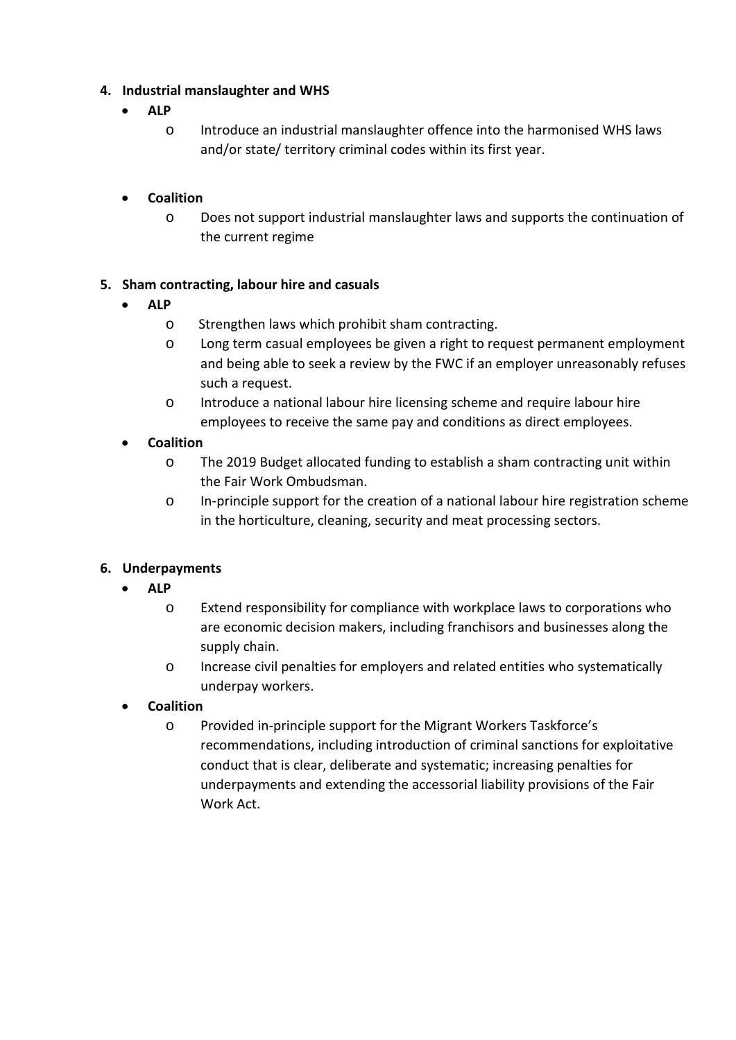# **4. Industrial manslaughter and WHS**

- **ALP** 
	- o Introduce an industrial manslaughter offence into the harmonised WHS laws and/or state/ territory criminal codes within its first year.

## • **Coalition**

o Does not support industrial manslaughter laws and supports the continuation of the current regime

#### **5. Sham contracting, labour hire and casuals**

- **ALP** 
	- o Strengthen laws which prohibit sham contracting.
	- o Long term casual employees be given a right to request permanent employment and being able to seek a review by the FWC if an employer unreasonably refuses such a request.
	- o Introduce a national labour hire licensing scheme and require labour hire employees to receive the same pay and conditions as direct employees.

## • **Coalition**

- o The 2019 Budget allocated funding to establish a sham contracting unit within the Fair Work Ombudsman.
- o In-principle support for the creation of a national labour hire registration scheme in the horticulture, cleaning, security and meat processing sectors.

# **6. Underpayments**

- **ALP** 
	- o Extend responsibility for compliance with workplace laws to corporations who are economic decision makers, including franchisors and businesses along the supply chain.
	- o Increase civil penalties for employers and related entities who systematically underpay workers.

#### • **Coalition**

o Provided in-principle support for the Migrant Workers Taskforce's recommendations, including introduction of criminal sanctions for exploitative conduct that is clear, deliberate and systematic; increasing penalties for underpayments and extending the accessorial liability provisions of the Fair Work Act.